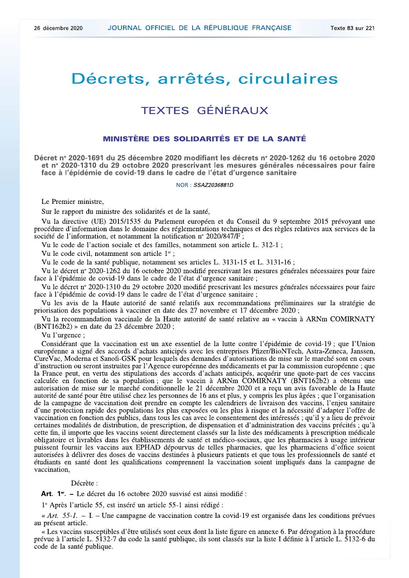# Décrets, arrêtés, circulaires

## **TEXTES GÉNÉRAUX**

### **MINISTÈRE DES SOLIDARITÉS ET DE LA SANTÉ**

Décret nº 2020-1691 du 25 décembre 2020 modifiant les décrets nº 2020-1262 du 16 octobre 2020 et nº 2020-1310 du 29 octobre 2020 prescrivant les mesures générales nécessaires pour faire face à l'épidémie de covid-19 dans le cadre de l'état d'urgence sanitaire

NOR: SSAZ2036881D

Le Premier ministre,

Sur le rapport du ministre des solidarités et de la santé,

Vu la directive (UE) 2015/1535 du Parlement européen et du Conseil du 9 septembre 2015 prévoyant une procédure d'information dans le domaine des réglementations techniques et des règles relatives aux services de la société de l'information, et notamment la notification nº 2020/847/F;

Vu le code de l'action sociale et des familles, notamment son article L. 312-1 ;

Vu le code civil, notamment son article 1<sup>er</sup>;

Vu le code de la santé publique, notamment ses articles L. 3131-15 et L. 3131-16;

Vu le décret nº 2020-1262 du 16 octobre 2020 modifié prescrivant les mesures générales nécessaires pour faire face à l'épidémie de covid-19 dans le cadre de l'état d'urgence sanitaire ;

Vu le décret n° 2020-1310 du 29 octobre 2020 modifié prescrivant les mesures générales nécessaires pour faire face à l'épidémie de covid-19 dans le cadre de l'état d'urgence sanitaire ;

Vu les avis de la Haute autorité de santé relatifs aux recommandations préliminaires sur la stratégie de priorisation des populations à vacciner en date des 27 novembre et 17 décembre 2020;

Vu la recommandation vaccinale de la Haute autorité de santé relative au « vaccin à ARNm COMIRNATY (BNT162b2) » en date du 23 décembre 2020;

Vu l'urgence:

Considérant que la vaccination est un axe essentiel de la lutte contre l'épidémie de covid-19; que l'Union européenne a signé des accords d'achats anticipés avec les entreprises Pfizer/BioNTech, Astra-Zeneca, Janssen, Cure Vac, Moderna et Sanofi-GSK pour lesquels des demandes d'autorisations de mise sur le marché sont en cours d'instruction ou seront instruites par l'Agence européenne des médicaments et par la commission européenne; que la France peut, en vertu des stipulations des accords d'achats anticipés, acquérir une quote-part de ces vaccins calculée en fonction de sa population; que le vaccin à ARNm COMIRNATY (BNT162b2) a obtenu une<br>autorisation de mise sur le marché conditionnelle le 21 décembre 2020 et a reçu un avis favorable de la Haute autorité de santé pour être utilisé chez les personnes de 16 ans et plus, y compris les plus âgées; que l'organisation de la campagne de vaccination doit prendre en compte les calendriers de livraison des vaccins, l'enjeu sanitaire d'une protection rapide des populations les plus exposées ou les plus à risque et la nécessité d'adapter l'offre de vaccination en fonction des publics, dans tous les cas avec le consentement des intéressés; qu'il y a lieu de prévoir certaines modalités de distribution, de prescription, de dispensation et d'administration des vaccins précités; qu'à cette fin, il importe que les vaccins soient directement classés sur la liste des médicaments à prescription médicale obligatoire et livrables dans les établissements de santé et médico-sociaux, que les pharmacies à usage intérieur puissent fournir les vaccins aux EPHAD dépourvus de telles pharmacies, que les pharmaciens d'office soient autorisées à délivrer des doses de vaccins destinées à plusieurs patients et que tous les professionnels de santé et étudiants en santé dont les qualifications comprennent la vaccination soient impliqués dans la campagne de vaccination,

#### Décrète :

Art. 1<sup>er</sup>. – Le décret du 16 octobre 2020 susvisé est ainsi modifié :

1º Après l'article 55, est inséré un article 55-1 ainsi rédigé :

« Art. 55-1. - I. - Une campagne de vaccination contre la covid-19 est organisée dans les conditions prévues au présent article.

« Les vaccins susceptibles d'être utilisés sont ceux dont la liste figure en annexe 6. Par dérogation à la procédure prévue à l'article L. 5132-7 du code la santé publique, ils sont classés sur la liste I définie à l'article L. 5132-6 du code de la santé publique.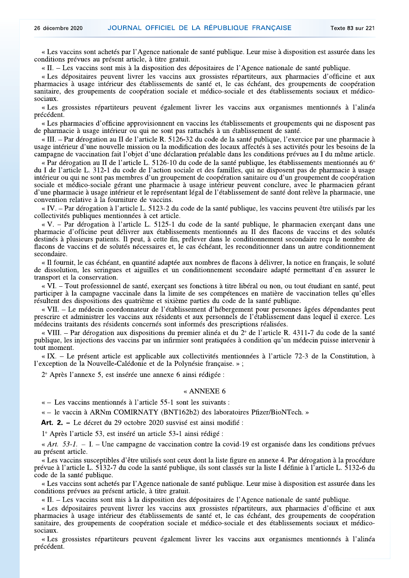« Les vaccins sont achetés par l'Agence nationale de santé publique. Leur mise à disposition est assurée dans les conditions prévues au présent article, à titre gratuit.

«II. – Les vaccins sont mis à la disposition des dépositaires de l'Agence nationale de santé publique.

« Les dépositaires peuvent livrer les vaccins aux grossistes répartiteurs, aux pharmacies d'officine et aux pharmacies à usage intérieur des établissements de santé et, le cas échéant, des groupements de coopération sanitaire, des groupements de coopération sociale et médico-sociale et des établissements sociaux et médicosociaux.

« Les grossistes répartiteurs peuvent également livrer les vaccins aux organismes mentionnés à l'alinéa précédent.

« Les pharmacies d'officine approvisionnent en vaccins les établissements et groupements qui ne disposent pas de pharmacie à usage intérieur ou qui ne sont pas rattachés à un établissement de santé.

« III. – Par dérogation au II de l'article R. 5126-32 du code de la santé publique, l'exercice par une pharmacie à usage intérieur d'une nouvelle mission ou la modification des locaux affectés à ses activités pour les besoins de la campagne de vaccination fait l'objet d'une déclaration préalable dans les conditions prévues au I du même article.

« Par dérogation au II de l'article L. 5126-10 du code de la santé publique, les établissements mentionnés au  $6^{\circ}$ du I de l'article L. 312-1 du code de l'action sociale et des familles, qui ne disposent pas de pharmacie à usage intérieur ou qui ne sont pas membres d'un groupement de coopération sanitaire ou d'un groupement de coopération sociale et médico-sociale gérant une pharmacie à usage intérieur peuvent conclure, avec le pharmacien gérant d'une pharmacie à usage intérieur et le représentant légal de l'établissement de santé dont relève la pharmacie, une convention relative à la fourniture de vaccins.

« IV. – Par dérogation à l'article L. 5123-2 du code de la santé publique, les vaccins peuvent être utilisés par les collectivités publiques mentionnées à cet article.

« V. - Par dérogation à l'article L. 5125-1 du code de la santé publique, le pharmacien exerçant dans une pharmacie d'officine peut délivrer aux établissements mentionnés au II des flacons de vaccins et des solutés destinés à plusieurs patients. Il peut, à cette fin, prélever dans le conditionnement secondaire reçu le nombre de flacons de vaccins et de solutés nécessaires et, le cas échéant, les reconditionner dans un autre conditionnement secondaire.

« Il fournit, le cas échéant, en quantité adaptée aux nombres de flacons à délivrer, la notice en français, le soluté de dissolution, les seringues et aiguilles et un conditionnement secondaire adapté permettant d'en assurer le transport et la conservation.

« VI. – Tout professionnel de santé, exerçant ses fonctions à titre libéral ou non, ou tout étudiant en santé, peut participer à la campagne vaccinale dans la limite de ses compétences en matière de vaccination telles qu'elles résultent des dispositions des quatrième et sixième parties du code de la santé publique.

« VII. - Le médecin coordonnateur de l'établissement d'hébergement pour personnes âgées dépendantes peut prescrire et administrer les vaccins aux résidents et aux personnels de l'établissement dans lequel il exerce. Les médecins traitants des résidents concernés sont informés des prescriptions réalisées.

« VIII. – Par dérogation aux dispositions du premier alinéa et du 2<sup>°</sup> de l'article R. 4311-7 du code de la santé publique, les injections des vaccins par un infirmier sont pratiquées à condition qu'un médecin puisse intervenir à tout moment.

«IX. – Le présent article est applicable aux collectivités mentionnées à l'article 72-3 de la Constitution, à l'exception de la Nouvelle-Calédonie et de la Polynésie française. »;

2° Après l'annexe 5, est insérée une annexe 6 ainsi rédigée :

#### « ANNEXE 6

« – Les vaccins mentionnés à l'article 55-1 sont les suivants :

« – le vaccin à ARNm COMIRNATY (BNT162b2) des laboratoires Pfizer/BioNTech. »

Art. 2. – Le décret du 29 octobre 2020 susvisé est ainsi modifié :

1º Après l'article 53, est inséré un article 53-1 ainsi rédigé :

« Art.  $53-1$ . – I. – Une campagne de vaccination contre la covid-19 est organisée dans les conditions prévues au présent article.

« Les vaccins susceptibles d'être utilisés sont ceux dont la liste figure en annexe 4. Par dérogation à la procédure prévue à l'article L. 5132-7 du code la santé publique, ils sont classés sur la liste I définie à l'article L. 5132-6 du code de la santé publique.

« Les vaccins sont achetés par l'Agence nationale de santé publique. Leur mise à disposition est assurée dans les conditions prévues au présent article, à titre gratuit.

« II. – Les vaccins sont mis à la disposition des dépositaires de l'Agence nationale de santé publique.

« Les dépositaires peuvent livrer les vaccins aux grossistes répartiteurs, aux pharmacies d'officine et aux pharmacies à usage intérieur des établissements de santé et, le cas échéant, des groupements de coopération sanitaire, des groupements de coopération sociale et médico-sociale et des établissements sociaux et médico $sociaux$ 

« Les grossistes répartiteurs peuvent également livrer les vaccins aux organismes mentionnés à l'alinéa précédent.